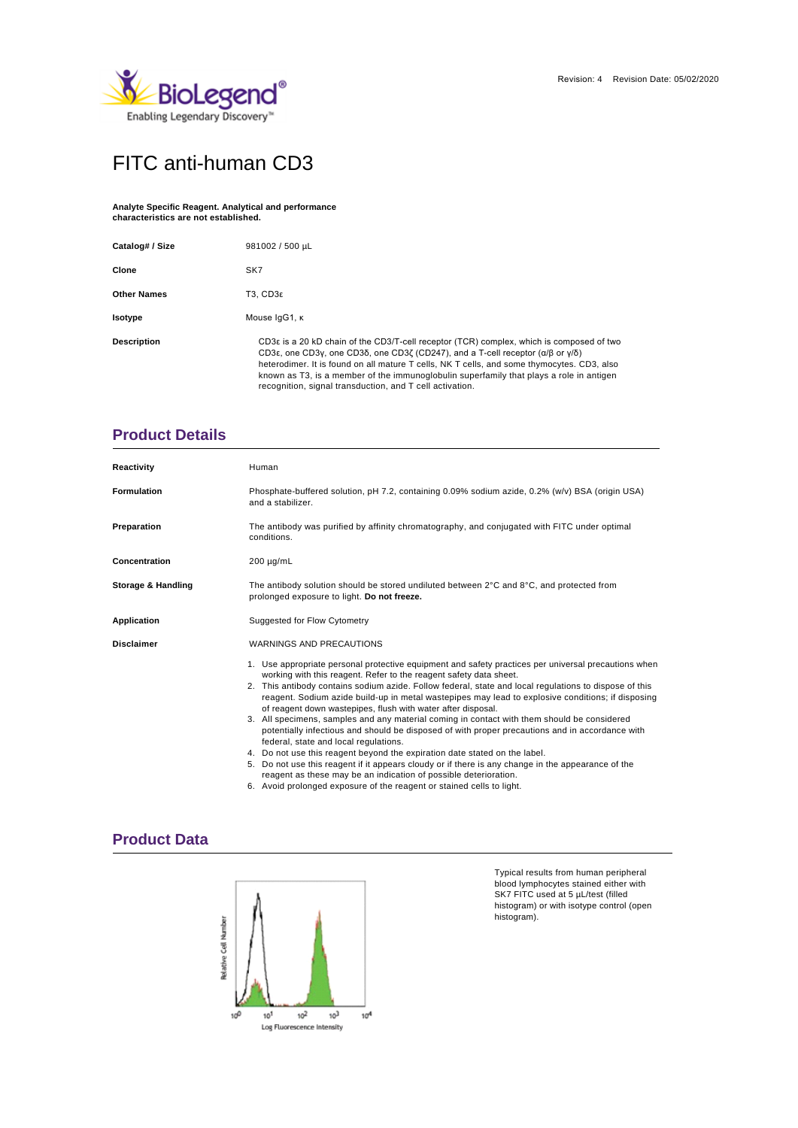

# FITC anti-human CD3

#### **Analyte Specific Reagent. Analytical and performance characteristics are not established.**

| Catalog# / Size    | 981002 / 500 µL                                                                                                                                                                                                                                                                                                                                                                                                                                                                                        |  |  |  |  |
|--------------------|--------------------------------------------------------------------------------------------------------------------------------------------------------------------------------------------------------------------------------------------------------------------------------------------------------------------------------------------------------------------------------------------------------------------------------------------------------------------------------------------------------|--|--|--|--|
| Clone              | SK7                                                                                                                                                                                                                                                                                                                                                                                                                                                                                                    |  |  |  |  |
| <b>Other Names</b> | T3. CD3ε                                                                                                                                                                                                                                                                                                                                                                                                                                                                                               |  |  |  |  |
| Isotype            | Mouse IgG1, K                                                                                                                                                                                                                                                                                                                                                                                                                                                                                          |  |  |  |  |
| <b>Description</b> | CD3 $\epsilon$ is a 20 kD chain of the CD3/T-cell receptor (TCR) complex, which is composed of two<br>CD3 $\epsilon$ , one CD3 $\gamma$ , one CD3 $\delta$ , one CD3 $\zeta$ (CD247), and a T-cell receptor ( $\alpha/\beta$ or $\gamma/\delta$ )<br>heterodimer. It is found on all mature T cells, NK T cells, and some thymocytes. CD3, also<br>known as T3, is a member of the immunoglobulin superfamily that plays a role in antigen<br>recognition, signal transduction, and T cell activation. |  |  |  |  |

### **Product Details**

| Reactivity         | Human                                                                                                                                                                                                                                                                                                                                                                                                                                                                                                                                                                                                                                                                                                                                                                                                                                                                                                                                                        |  |  |  |  |  |
|--------------------|--------------------------------------------------------------------------------------------------------------------------------------------------------------------------------------------------------------------------------------------------------------------------------------------------------------------------------------------------------------------------------------------------------------------------------------------------------------------------------------------------------------------------------------------------------------------------------------------------------------------------------------------------------------------------------------------------------------------------------------------------------------------------------------------------------------------------------------------------------------------------------------------------------------------------------------------------------------|--|--|--|--|--|
| <b>Formulation</b> | Phosphate-buffered solution, pH 7.2, containing 0.09% sodium azide, 0.2% (w/v) BSA (origin USA)<br>and a stabilizer.                                                                                                                                                                                                                                                                                                                                                                                                                                                                                                                                                                                                                                                                                                                                                                                                                                         |  |  |  |  |  |
| Preparation        | The antibody was purified by affinity chromatography, and conjugated with FITC under optimal<br>conditions.                                                                                                                                                                                                                                                                                                                                                                                                                                                                                                                                                                                                                                                                                                                                                                                                                                                  |  |  |  |  |  |
| Concentration      | $200 \mu g/mL$                                                                                                                                                                                                                                                                                                                                                                                                                                                                                                                                                                                                                                                                                                                                                                                                                                                                                                                                               |  |  |  |  |  |
| Storage & Handling | The antibody solution should be stored undiluted between $2^{\circ}$ C and $8^{\circ}$ C, and protected from<br>prolonged exposure to light. Do not freeze.                                                                                                                                                                                                                                                                                                                                                                                                                                                                                                                                                                                                                                                                                                                                                                                                  |  |  |  |  |  |
| <b>Application</b> | Suggested for Flow Cytometry                                                                                                                                                                                                                                                                                                                                                                                                                                                                                                                                                                                                                                                                                                                                                                                                                                                                                                                                 |  |  |  |  |  |
| <b>Disclaimer</b>  | <b>WARNINGS AND PRECAUTIONS</b>                                                                                                                                                                                                                                                                                                                                                                                                                                                                                                                                                                                                                                                                                                                                                                                                                                                                                                                              |  |  |  |  |  |
|                    | 1. Use appropriate personal protective equipment and safety practices per universal precautions when<br>working with this reagent. Refer to the reagent safety data sheet.<br>2. This antibody contains sodium azide. Follow federal, state and local regulations to dispose of this<br>reagent. Sodium azide build-up in metal wastepipes may lead to explosive conditions; if disposing<br>of reagent down wastepipes, flush with water after disposal.<br>3. All specimens, samples and any material coming in contact with them should be considered<br>potentially infectious and should be disposed of with proper precautions and in accordance with<br>federal, state and local regulations.<br>4. Do not use this reagent beyond the expiration date stated on the label.<br>5. Do not use this reagent if it appears cloudy or if there is any change in the appearance of the<br>reagent as these may be an indication of possible deterioration. |  |  |  |  |  |

### 6. Avoid prolonged exposure of the reagent or stained cells to light.

### **Product Data**



Typical results from human peripheral blood lymphocytes stained either with SK7 FITC used at 5 µL/test (filled histogram) or with isotype control (open histogram).